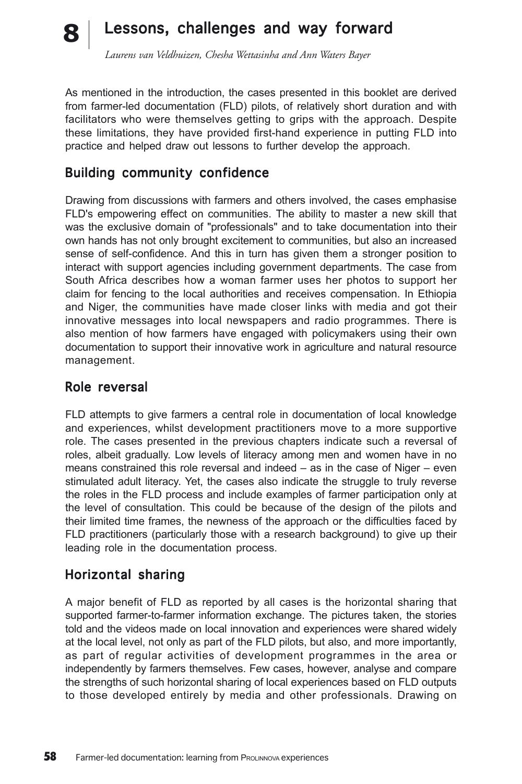#### Lessons, challenges and way forward **8**

*Laurens van Veldhuizen, Chesha Wettasinha and Ann Waters Bayer*

As mentioned in the introduction, the cases presented in this booklet are derived from farmer-led documentation (FLD) pilots, of relatively short duration and with facilitators who were themselves getting to grips with the approach. Despite these limitations, they have provided first-hand experience in putting FLD into practice and helped draw out lessons to further develop the approach.

## Building community confidence

Drawing from discussions with farmers and others involved, the cases emphasise FLD's empowering effect on communities. The ability to master a new skill that was the exclusive domain of "professionals" and to take documentation into their own hands has not only brought excitement to communities, but also an increased sense of self-confidence. And this in turn has given them a stronger position to interact with support agencies including government departments. The case from South Africa describes how a woman farmer uses her photos to support her claim for fencing to the local authorities and receives compensation. In Ethiopia and Niger, the communities have made closer links with media and got their innovative messages into local newspapers and radio programmes. There is also mention of how farmers have engaged with policymakers using their own documentation to support their innovative work in agriculture and natural resource management.

#### Role reversal

FLD attempts to give farmers a central role in documentation of local knowledge and experiences, whilst development practitioners move to a more supportive role. The cases presented in the previous chapters indicate such a reversal of roles, albeit gradually. Low levels of literacy among men and women have in no means constrained this role reversal and indeed – as in the case of Niger – even stimulated adult literacy. Yet, the cases also indicate the struggle to truly reverse the roles in the FLD process and include examples of farmer participation only at the level of consultation. This could be because of the design of the pilots and their limited time frames, the newness of the approach or the difficulties faced by FLD practitioners (particularly those with a research background) to give up their leading role in the documentation process.

#### Horizontal sharing

A major benefit of FLD as reported by all cases is the horizontal sharing that supported farmer-to-farmer information exchange. The pictures taken, the stories told and the videos made on local innovation and experiences were shared widely at the local level, not only as part of the FLD pilots, but also, and more importantly, as part of regular activities of development programmes in the area or independently by farmers themselves. Few cases, however, analyse and compare the strengths of such horizontal sharing of local experiences based on FLD outputs to those developed entirely by media and other professionals. Drawing on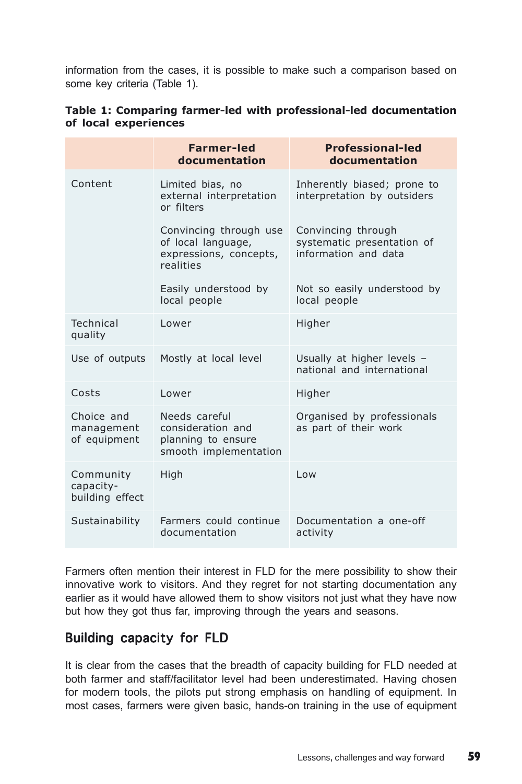information from the cases, it is possible to make such a comparison based on some key criteria (Table 1).

|                                           | <b>Farmer-led</b><br>documentation                                                  | <b>Professional-led</b><br>documentation                                 |  |
|-------------------------------------------|-------------------------------------------------------------------------------------|--------------------------------------------------------------------------|--|
| Content                                   | Limited bias, no<br>external interpretation<br>or filters                           | Inherently biased; prone to<br>interpretation by outsiders               |  |
|                                           | Convincing through use<br>of local language,<br>expressions, concepts,<br>realities | Convincing through<br>systematic presentation of<br>information and data |  |
|                                           | Easily understood by<br>local people                                                | Not so easily understood by<br>local people                              |  |
| Technical<br>quality                      | Lower                                                                               | Higher                                                                   |  |
| Use of outputs                            | Mostly at local level                                                               | Usually at higher levels -<br>national and international                 |  |
| Costs                                     | l ower                                                                              | Higher                                                                   |  |
| Choice and<br>management<br>of equipment  | Needs careful<br>consideration and<br>planning to ensure<br>smooth implementation   | Organised by professionals<br>as part of their work                      |  |
| Community<br>capacity-<br>building effect | High                                                                                | Low                                                                      |  |
| Sustainability                            | Farmers could continue<br>documentation                                             | Documentation a one-off<br>activity                                      |  |

|                      |  | Table 1: Comparing farmer-led with professional-led documentation |  |
|----------------------|--|-------------------------------------------------------------------|--|
| of local experiences |  |                                                                   |  |

Farmers often mention their interest in FLD for the mere possibility to show their innovative work to visitors. And they regret for not starting documentation any earlier as it would have allowed them to show visitors not just what they have now but how they got thus far, improving through the years and seasons.

## Building capacity for FLD

It is clear from the cases that the breadth of capacity building for FLD needed at both farmer and staff/facilitator level had been underestimated. Having chosen for modern tools, the pilots put strong emphasis on handling of equipment. In most cases, farmers were given basic, hands-on training in the use of equipment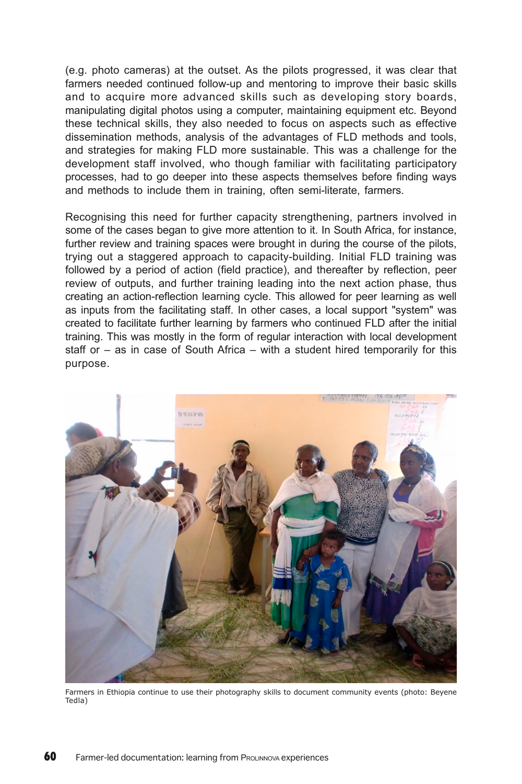(e.g. photo cameras) at the outset. As the pilots progressed, it was clear that farmers needed continued follow-up and mentoring to improve their basic skills and to acquire more advanced skills such as developing story boards, manipulating digital photos using a computer, maintaining equipment etc. Beyond these technical skills, they also needed to focus on aspects such as effective dissemination methods, analysis of the advantages of FLD methods and tools, and strategies for making FLD more sustainable. This was a challenge for the development staff involved, who though familiar with facilitating participatory processes, had to go deeper into these aspects themselves before finding ways and methods to include them in training, often semi-literate, farmers.

Recognising this need for further capacity strengthening, partners involved in some of the cases began to give more attention to it. In South Africa, for instance, further review and training spaces were brought in during the course of the pilots, trying out a staggered approach to capacity-building. Initial FLD training was followed by a period of action (field practice), and thereafter by reflection, peer review of outputs, and further training leading into the next action phase, thus creating an action-reflection learning cycle. This allowed for peer learning as well as inputs from the facilitating staff. In other cases, a local support "system" was created to facilitate further learning by farmers who continued FLD after the initial training. This was mostly in the form of regular interaction with local development staff or – as in case of South Africa – with a student hired temporarily for this purpose.



Farmers in Ethiopia continue to use their photography skills to document community events (photo: Beyene Tedla)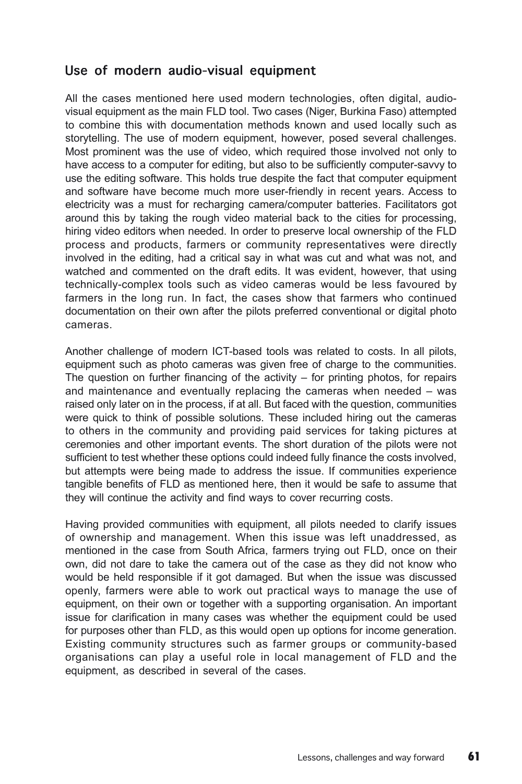## Use of modern audio-visual equipment

All the cases mentioned here used modern technologies, often digital, audiovisual equipment as the main FLD tool. Two cases (Niger, Burkina Faso) attempted to combine this with documentation methods known and used locally such as storytelling. The use of modern equipment, however, posed several challenges. Most prominent was the use of video, which required those involved not only to have access to a computer for editing, but also to be sufficiently computer-savvy to use the editing software. This holds true despite the fact that computer equipment and software have become much more user-friendly in recent years. Access to electricity was a must for recharging camera/computer batteries. Facilitators got around this by taking the rough video material back to the cities for processing, hiring video editors when needed. In order to preserve local ownership of the FLD process and products, farmers or community representatives were directly involved in the editing, had a critical say in what was cut and what was not, and watched and commented on the draft edits. It was evident, however, that using technically-complex tools such as video cameras would be less favoured by farmers in the long run. In fact, the cases show that farmers who continued documentation on their own after the pilots preferred conventional or digital photo cameras.

Another challenge of modern ICT-based tools was related to costs. In all pilots, equipment such as photo cameras was given free of charge to the communities. The question on further financing of the activity  $-$  for printing photos, for repairs and maintenance and eventually replacing the cameras when needed – was raised only later on in the process, if at all. But faced with the question, communities were quick to think of possible solutions. These included hiring out the cameras to others in the community and providing paid services for taking pictures at ceremonies and other important events. The short duration of the pilots were not sufficient to test whether these options could indeed fully finance the costs involved, but attempts were being made to address the issue. If communities experience tangible benefits of FLD as mentioned here, then it would be safe to assume that they will continue the activity and find ways to cover recurring costs.

Having provided communities with equipment, all pilots needed to clarify issues of ownership and management. When this issue was left unaddressed, as mentioned in the case from South Africa, farmers trying out FLD, once on their own, did not dare to take the camera out of the case as they did not know who would be held responsible if it got damaged. But when the issue was discussed openly, farmers were able to work out practical ways to manage the use of equipment, on their own or together with a supporting organisation. An important issue for clarification in many cases was whether the equipment could be used for purposes other than FLD, as this would open up options for income generation. Existing community structures such as farmer groups or community-based organisations can play a useful role in local management of FLD and the equipment, as described in several of the cases.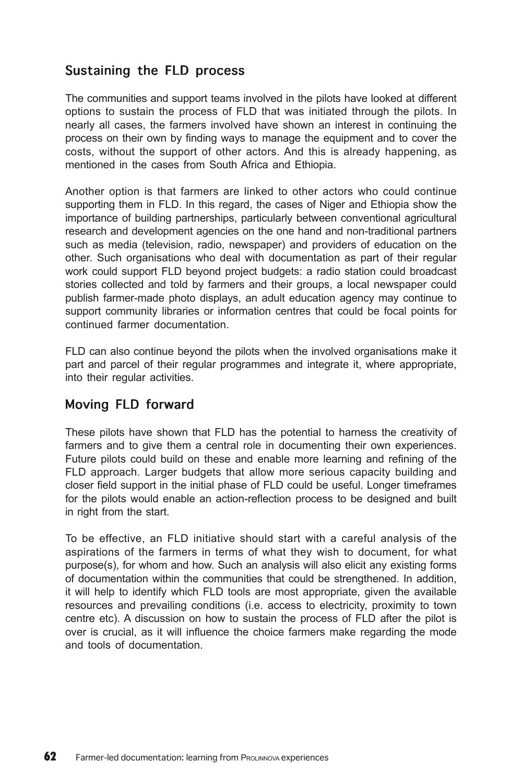# Sustaining the FLD process

The communities and support teams involved in the pilots have looked at different options to sustain the process of FLD that was initiated through the pilots. In nearly all cases, the farmers involved have shown an interest in continuing the process on their own by finding ways to manage the equipment and to cover the costs, without the support of other actors. And this is already happening, as mentioned in the cases from South Africa and Ethiopia.

Another option is that farmers are linked to other actors who could continue supporting them in FLD. In this regard, the cases of Niger and Ethiopia show the importance of building partnerships, particularly between conventional agricultural research and development agencies on the one hand and non-traditional partners such as media (television, radio, newspaper) and providers of education on the other. Such organisations who deal with documentation as part of their regular work could support FLD beyond project budgets: a radio station could broadcast stories collected and told by farmers and their groups, a local newspaper could publish farmer-made photo displays, an adult education agency may continue to support community libraries or information centres that could be focal points for continued farmer documentation.

FLD can also continue beyond the pilots when the involved organisations make it part and parcel of their regular programmes and integrate it, where appropriate, into their regular activities.

# Moving FLD forward

These pilots have shown that FLD has the potential to harness the creativity of farmers and to give them a central role in documenting their own experiences. Future pilots could build on these and enable more learning and refining of the FLD approach. Larger budgets that allow more serious capacity building and closer field support in the initial phase of FLD could be useful. Longer timeframes for the pilots would enable an action-reflection process to be designed and built in right from the start.

To be effective, an FLD initiative should start with a careful analysis of the aspirations of the farmers in terms of what they wish to document, for what purpose(s), for whom and how. Such an analysis will also elicit any existing forms of documentation within the communities that could be strengthened. In addition, it will help to identify which FLD tools are most appropriate, given the available resources and prevailing conditions (i.e. access to electricity, proximity to town centre etc). A discussion on how to sustain the process of FLD after the pilot is over is crucial, as it will influence the choice farmers make regarding the mode and tools of documentation.